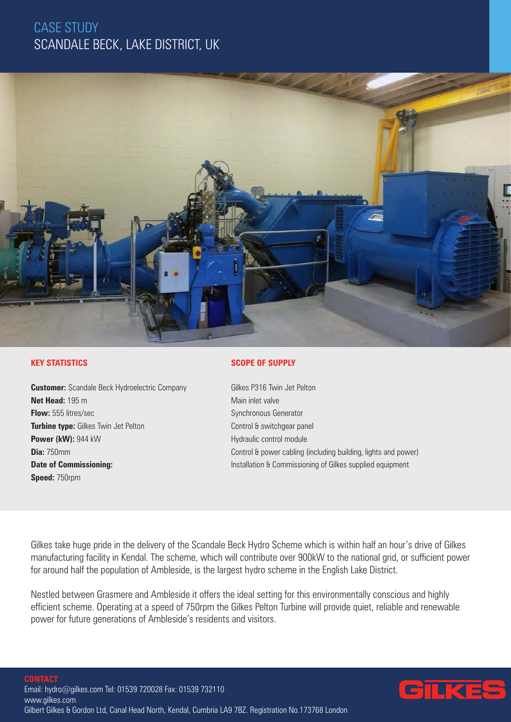# CASE STUDY SCANDALE BECK, LAKE DISTRICT, UK



### **KEY STATISTICS**

**Customer:** Scandale Beck Hydroelectric Company **Net Head:** 195 m **Flow:** 555 litres/sec **Turbine type:** Gilkes Twin Jet Pelton **Power (kW):** 944 kW **Dia:** 750mm **Date of Commissioning: Speed:** 750rpm

#### **SCOPE OF SUPPLY**

Gilkes P316 Twin Jet Pelton Main inlet valve Synchronous Generator Control & switchgear panel Hydraulic control module Control & power cabling (including building, lights and power) Installation & Commissioning of Gilkes supplied equipment

Gilkes take huge pride in the delivery of the Scandale Beck Hydro Scheme which is within half an hour's drive of Gilkes manufacturing facility in Kendal. The scheme, which will contribute over 900kW to the national grid, or sufficient power for around half the population of Ambleside, is the largest hydro scheme in the English Lake District.

Nestled between Grasmere and Ambleside it offers the ideal setting for this environmentally conscious and highly efficient scheme. Operating at a speed of 750rpm the Gilkes Pelton Turbine will provide quiet, reliable and renewable power for future generations of Ambleside's residents and visitors.